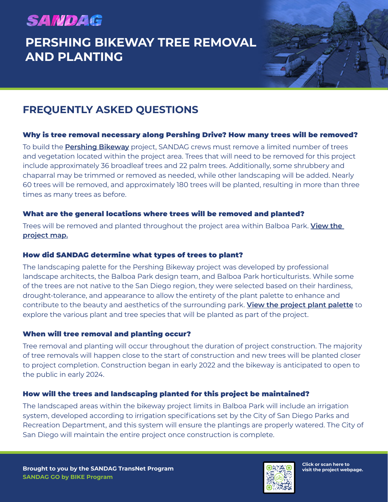# **SANDAG**

## **PERSHING BIKEWAY TREE REMOVAL AND PLANTING**



### **FREQUENTLY ASKED QUESTIONS**

#### Why is tree removal necessary along Pershing Drive? How many trees will be removed?

To build the **[Pershing Bikeway](https://www.keepsandiegomoving.com/RegionalBikeProjects/pershingbikeway.aspx)** project, SANDAG crews must remove a limited number of trees and vegetation located within the project area. Trees that will need to be removed for this project include approximately 36 broadleaf trees and 22 palm trees. Additionally, some shrubbery and chaparral may be trimmed or removed as needed, while other landscaping will be added. Nearly 60 trees will be removed, and approximately 180 trees will be planted, resulting in more than three times as many trees as before.

#### What are the general locations where trees will be removed and planted?

Trees will be removed and planted throughout the project area within Balboa Park. **[View the](https://www.keepsandiegomoving.com/Libraries/Bike_Projects/2022_01_28_PER_Map_Project-Map_EN_FINAL.sflb.ashx)  [project map.](https://www.keepsandiegomoving.com/Libraries/Bike_Projects/2022_01_28_PER_Map_Project-Map_EN_FINAL.sflb.ashx)**

#### How did SANDAG determine what types of trees to plant?

The landscaping palette for the Pershing Bikeway project was developed by professional landscape architects, the Balboa Park design team, and Balboa Park horticulturists. While some of the trees are not native to the San Diego region, they were selected based on their hardiness, drought-tolerance, and appearance to allow the entirety of the plant palette to enhance and contribute to the beauty and aesthetics of the surrounding park. **[View the project plant palette](https://www.keepsandiegomoving.com/Libraries/Bike_Projects/2022_01_25_PER_Plant-Palette_FINAL.sflb.ashx)** to explore the various plant and tree species that will be planted as part of the project.

### When will tree removal and planting occur?

Tree removal and planting will occur throughout the duration of project construction. The majority of tree removals will happen close to the start of construction and new trees will be planted closer to project completion. Construction began in early 2022 and the bikeway is anticipated to open to the public in early 2024.

### How will the trees and landscaping planted for this project be maintained?

The landscaped areas within the bikeway project limits in Balboa Park will include an irrigation system, developed according to irrigation specifications set by the City of San Diego Parks and Recreation Department, and this system will ensure the plantings are properly watered. The City of San Diego will maintain the entire project once construction is complete.



**Click or scan here to visit the project webpage.**